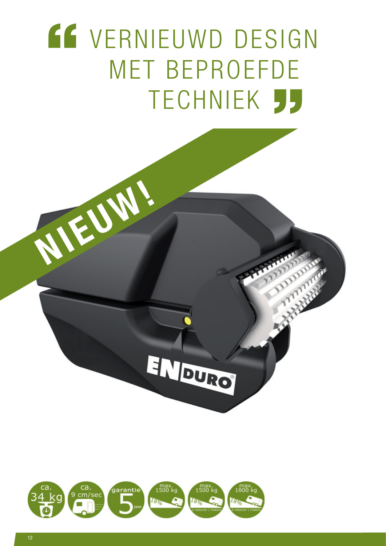## **EF VERNIEUWD DESIGN** MET BEPROEFDE **TECHNIEK 55**

ENDURO



AIEUM!